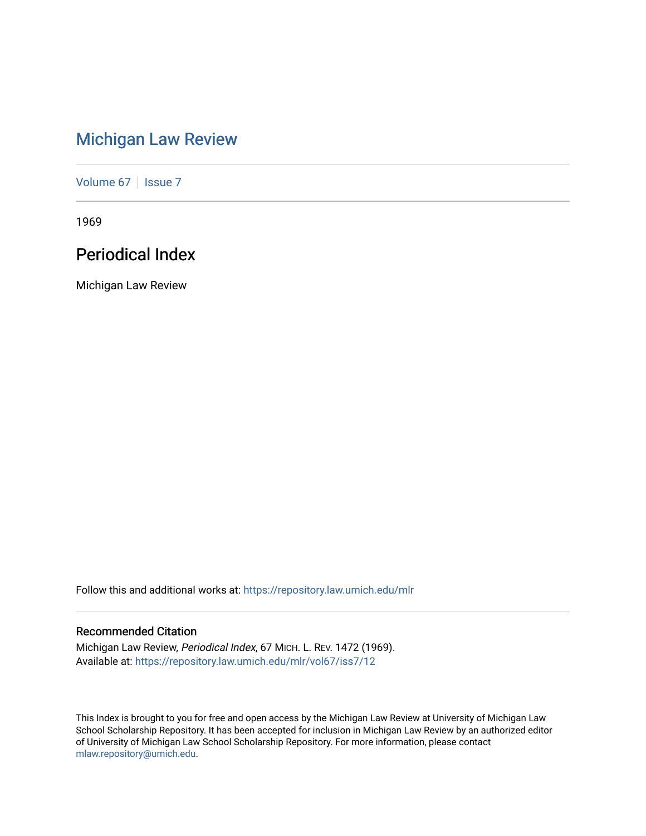# [Michigan Law Review](https://repository.law.umich.edu/mlr)

[Volume 67](https://repository.law.umich.edu/mlr/vol67) | [Issue 7](https://repository.law.umich.edu/mlr/vol67/iss7)

1969

## Periodical Index

Michigan Law Review

Follow this and additional works at: [https://repository.law.umich.edu/mlr](https://repository.law.umich.edu/mlr?utm_source=repository.law.umich.edu%2Fmlr%2Fvol67%2Fiss7%2F12&utm_medium=PDF&utm_campaign=PDFCoverPages) 

## Recommended Citation

Michigan Law Review, Periodical Index, 67 MICH. L. REV. 1472 (1969). Available at: [https://repository.law.umich.edu/mlr/vol67/iss7/12](https://repository.law.umich.edu/mlr/vol67/iss7/12?utm_source=repository.law.umich.edu%2Fmlr%2Fvol67%2Fiss7%2F12&utm_medium=PDF&utm_campaign=PDFCoverPages) 

This Index is brought to you for free and open access by the Michigan Law Review at University of Michigan Law School Scholarship Repository. It has been accepted for inclusion in Michigan Law Review by an authorized editor of University of Michigan Law School Scholarship Repository. For more information, please contact [mlaw.repository@umich.edu.](mailto:mlaw.repository@umich.edu)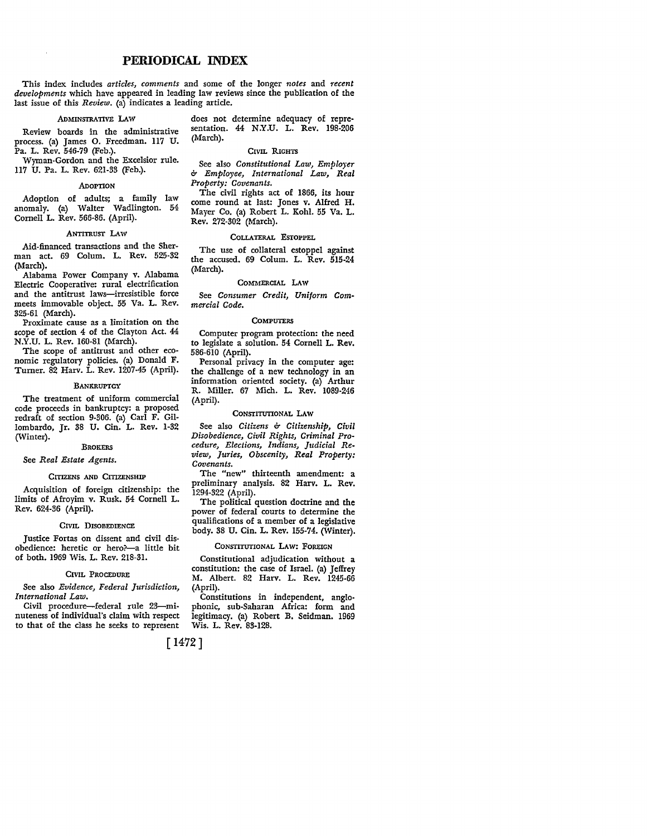### **PERIODICAL INDEX**

This inde.x includes *articles, comments* and some of the longer *notes* and *recent developments* which have appeared in leading law reviews since the publication of the last issue of this *Review*. (a) indicates a leading article.

Review boards in the administrative process. (a) James 0. Freedman. 117 U. Pa. L. Rev. 546-79 (Feb.).

Wyman-Gordon and the Excelsior rule. 117 U. Pa. L. Rev. 621-33 (Feb.).

#### .ADOPTION

Adoption of adults; a family law anomaly. (a) Walter Wadlington. 54 Cornell L. Rev. 566-86. (April).

### ANTITRUST LAW

Aid-financed transactions and the Sherman act. 69 Colum. L. Rev. 525-32 (March).

Alabama Power Company v. Alabama Electric Cooperative: rural electrification and the antitrust laws-irresistible force meets immovable object. 55 Va. L. Rev. 325-61 (March).

Proximate cause as a limitation on the scope of section 4 of the Clayton Act. 44 N.Y.U. L. Rev. 160-81 (March).

The scope of antitrust and other economic regulatory policies. (a) Donald F. Turner. 82 Harv. L. Rev. 1207-45 (April).

### **BANKRUPTCY**

The treatment of uniform commercial code proceeds in bankruptcy: a proposed redraft of section 9-306. (a) Carl F. Gillombardo, Jr. 38 U. Cin. L. Rev. 1-32 (Winter).

#### **BROKERS**

### See *Real Estate Agents.*

#### CITIZENS AND CITIZENSHIP

Acquisition of foreign citizenship: the limits of Afroyim v. Rusk. 54 Cornell L. Rev. 624-36 (April).

### CIVIL DISOBEDIENCE

Justice Fortas on dissent and civil disobedience: heretic or hero?--a little bit of both. 1969 Wis. L. Rev. 218-31.

### CIVIL PROCEDURE

See also *Evidence, Federal Jurisdiction, International Law.* 

Civil procedure-federal rule 23-minuteness of individual's claim with respect to that of the class he seeks to represent

.ADMINSTRATIVE LAw does not determine adequacy of repre• sentation. 44 N.Y.U. L. Rev. 198-206 (March).

### CIVIL RIGHTS

See also *Constitutional Law, Employer & Employee, International Law, Real*  Property: Covenants.

The civil rights act of 1866, its hour come round at last: Jones v. Alfred H. Mayer Co. (a) Robert L. Kohl. 55 Va. L. Rev. 272-302 (March).

### COLLATERAL ESTOPPEL

The use of collateral estoppel against the accused. 69 Colum. L. Rev. 515-24 (March).

### COMMERCIAL LAW

See *Consumer Credit, Uniform Commercial Code.* 

### **COMPUTERS**

Computer program protection: the need to legislate a solution. 54 Cornell L. **Rev.**  586-610 (April).

Personal privacy in the computer age: the challenge of a new technology in an information oriented society. (a) Arthur R. Miller. 67 Mich. L. Rev. 1089-246 (April).

### CONSTITUTIONAL LAW

See also *Citizens & Citizenship, Civil Disobedience, Civil Rights, Criminal Pro• cedure, Elections, Indians, Judicial Review, Juries, Obscenity, Real Property: Covenants.* 

The "new" thirteenth amendment: a preliminary analysis. 82 Harv. L. Rev. 1294-322 (April).

The political question doctrine and the power of federal courts to determine the qualifications of a member of a legislative body. 38 U. Cin. L. Rev. 155-74. (Winter).

#### CONSTITUTIONAL LAW: FOREIGN

Constitutional adjudication without a constitution: the case of Israel. (a) Jeffrey M. Albert. 82 Harv. L. Rev. 1245-66 (April).

Constitutions in independent, anglo• phonic, sub-Saharan Africa: form and legitimacy. (a) Robert B. Seidman, 1969 Wis. L. Rev. 83-128.

[1472]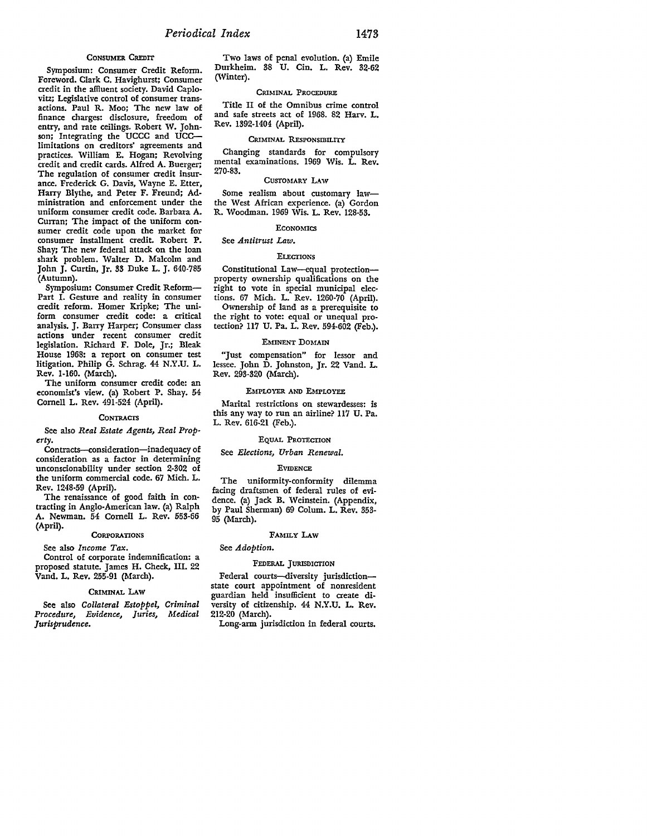#### CONSUMER CREDIT

Symposium: Consumer Credit Reform. Foreword. Clark C. Havighurst; Consumer credit in the affiuent society. David Caplo• vitz; Legislative control of consumer transactions. Paul R. Moo; The new law of finance charges: disclosure, freedom of entry, and rate ceilings. Robert W. Johnson; Integrating the UCCC and UCClimitations on creditors' agreements and practices. William E. Hogan; Revolving credit and credit cards. Alfred A. Buerger; The regulation of consumer credit insurance. Frederick G. Davis, Wayne E. Etter, Harry Blythe, and Peter F. Freund; Administration and enforcement under the uniform consumer credit code. Barbara A. Curran; The impact of the uniform consumer credit code upon the market for consumer installment credit. Robert P. Shay; The new federal attack on the loan shark problem. Walter D. Malcolm and John **J.** Curtin, Jr. 33 Duke L. J. 640-785 (Autumn).

Symposium: Consumer Credit Reform-Part I. Gesture and reality in consumer credit reform. Homer Kripke; The uniform consumer credit code: a critical analysis. J. Barry Harper; Consumer class actions under recent consumer credit legislation. Richard F. Dole, Jr.; Bleak House 1968: a report on consumer test litigation. Philip G. Schrag. 44 N.Y.U. L. Rev. 1-160. (March).

The uniform consumer credit code: an economist's view. (a) Robert P. Shay. 54 Cornell L. Rev. 491-524 (April).

#### **CONTRACTS**

See also *Real Estate Agents, Real Property.* 

Contracts-consideration-inadequacy of consideration as a factor in determining unconscionability under section 2-302 of the uniform commercial code. 67 Mich. L. Rev. 1248-59 (April).

The renaissance of good faith in contracting in Anglo-American law. (a) Ralph A. Newman. 54 Cornell L. Rev. 553-66 (April).

#### **CORPORATIONS**

See also *Income Tax.* 

Control of corporate indemnification: a proposed statute. James H. Cheek, III. 22 Vand. L. Rev. 255-91 (March).

### CRIMINAL LAW

See also *Collateral Estoppel, Criminal Procedure, Evidence, Juries, Medical Jurisprudence.* 

Two laws of penal evolution. (a) Emile Durkheim. 38 U. Cin. L. Rev. 32-62 (Winter).

### CRIMINAL PROCEDURE

Title II of the Omnibus crime control and safe streets act of 1968. 82 Harv. L. Rev. 1392-1404 (April).

### CRIMINAL RESPONSIBILITY

Changing standards for compulsory mental examinations. 1969 Wis. L. Rev. 270-83.

### CUSTOMARY LAW

Some realism about customary lawthe West African experience. (a) Gordon R. Woodman. 1969 Wis. L. Rev. 128-53.

### **ECONOMICS**

### See *Antitrust Law.*

#### **ELECTIONS**

Constitutional Law-equal protectionproperty ownership qualifications on the right to vote in special municipal elections. 67 Mich. L. Rev. 1260-70 (April). Ownership of land as a prerequisite to the right to vote: equal or unequal protection? 117 U. Pa. L. Rev. 594-602 (Feb.).

#### EMINENT DOMAIN

"Just compensation" for lessor and lessee. John D. Johnston, Jr. 22 Vand. L. Rev. 293-320 (March).

### EMPLOYER AND EMPLOYEE

Marital restrictions on stewardesses: is this any way to run an airline? 117 U. Pa. L. Rev. 616-21 (Feb.).

### EQUAL PROTECTION

See *Elections, Urban Renewal.* 

### EVIDENCE

The uniformity-conformity dilemma facing draftsmen of federal rules of evidence. (a) Jack B. Weinstein. (Appendix, by Paul Sherman) 69 Colum. L. Rev. 353- 95 (March).

#### **FAMILY !.Aw**

### See *Adoption.*

### FEDERAL JURISDICTION

Federal courts-diversity jurisdictionstate court appointment of nonresident guardian held insufficient to create diversity of citizenship. 44 N.Y.U. L. Rev. 212-20 (March).

Long-arm jurisdiction in federal courts.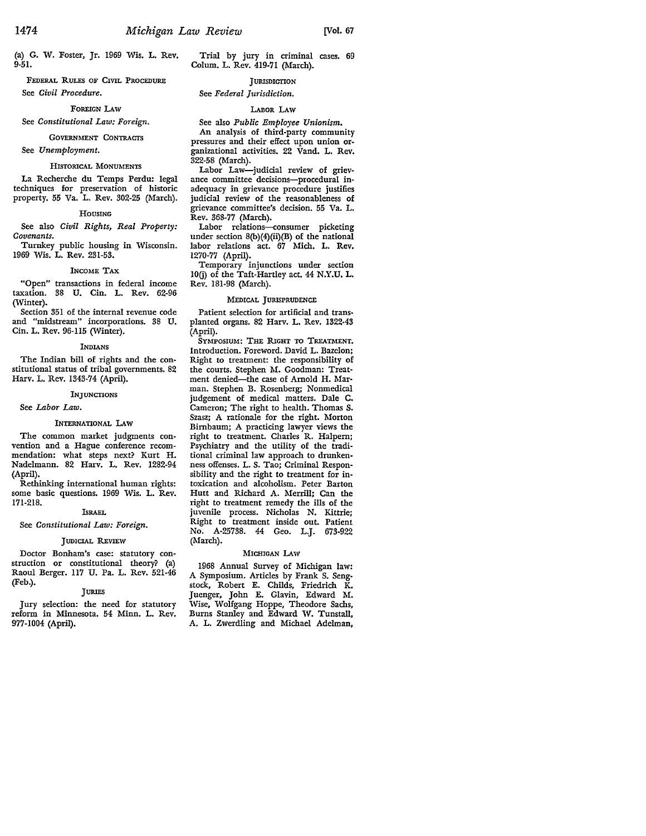(a) G. W. Foster, Jr. 1969 Wis. L. Rev. 9-51.

FEDERAL RULES OF CIVIL PROCEDURE See *Civil Procedure.* 

### FOREIGN LAW

See *Constitutional Law: Foreign.* 

#### GOVERNMENT CONTRACTS

See *Unemployment.* 

### HISTORICAL MONUMENTS

La Recherche du Temps Perdu: legal techniques for preservation of historic property. 55 Va. L. Rev. 302-25 (March).

#### HOUSING

See also *Civil Rights, Real Property: Covenants.* 

Turnkey public housing in Wisconsin. 1969 Wis. L. Rev. 231-53.

#### INCOME TAX

"Open" transactions in federal income taxation. 38 U. Cin. L. Rev. 62-96 (Winter).

Section 351 of the internal revenue code and "midstream" incorporations. 38 U. Cin. L. Rev. 96-ll5 (Winter).

#### INDIANS

The Indian bill of rights and the constitutional status of tribal governments. 82 Harv. L. Rev. 1343-74 (April).

### INJUNCTIONS

### See *Labor Law.*

### INTERNATIONAL LAW

The common market judgments convention and a Hague conference recommendation: what steps next? Kurt H. Nadelmann. 82 Harv. L. Rev. 1282-94 (April).

Rethinking international human rights: some basic questions. 1969 Wis. L. Rev. 171-218.

### **ISRAEL**

See *Constitutional Law: Foreign.* 

### JUDICIAL REVIEW

Doctor Bonham's case: statutory construction or constitutional theory? (a) Raoul Berger. II7 U. Pa. L. Rev. 521-46 (Feb.).

### **JURIES**

Jury selection: the need for statutory reform in Minnesota. 54 Minn. L. Rev. 977-1004 (April).

Trial by jury in criminal cases. 69 Colum. L. Rev. 419-71 (March).

### JURISDICTION

### See *Federal Jurisdiction.*

### LABOR LAW

See also *Public Employee Unionism.*  An analysis of third-party community pressures and their effect upon union organizational activities. 22 Vand. L. Rev. 322-58 (March).

Labor Law-judicial review of grievance committee decisions-procedural inadequacy in grievance procedure justifies judicial review of the reasonableness of grievance committee's decision. 55 Va. L. Rev. 368-77 (March).

Labor relations-consumer picketing under section 8(b)(4)(ii)(B) of the national labor relations act. 67 Mich. L. Rev. 1270-77 (April).

Temporary injunctions under section IO(j) of the Taft-Hartley act. 44 N.Y.U. L. Rev. 181-98 (March).

### MEDICAL JURISPRUDENCE

Patient selection for artificial and transplanted organs. 82 Harv. L. Rev. 1322-43 (April).

SYMPOSIUM: THE RIGHT TO TREATMENT, Introduction. Foreword. David L. Bazclon; Right to treatment: the responsibility of the courts. Stephen M. Goodman: Treatment denied-the case of Arnold H. Marman. Stephen B. Rosenberg; Nonmedical judgement of medical matters. Dale C. Cameron; The right to health. Thomas S. Szasz; A rationale for the right. Morton Birnbaum; A practicing lawyer views the right to treatment. Charles R. Halpern; Psychiatry and the utility of the traditional criminal law approach to drunkenness offenses. L. S. Tao; Criminal Responsibility and the right to treatment for intoxication and alcoholism. Peter Barton Hutt and Richard A. Merrill; Can the right to treatment remedy the ills of the juvenile process. Nicholas N. Kittrie; Right to treatment inside out. Patient No. A-25738. 44 Geo. L.J. 673-922 (March).

### MICHIGAN LAW

1968 Annual Survey of Michigan law: A Symposium. Articles by Frank S. Sengstock, Robert E. Childs, Friedrich K. Juenger, John E. Glavin, Edward M. Wise, Wolfgang Hoppe, Theodore Sachs, Burns Stanley and Edward W. Tunstall, A. L. Zwerdling and Michael Adelman,